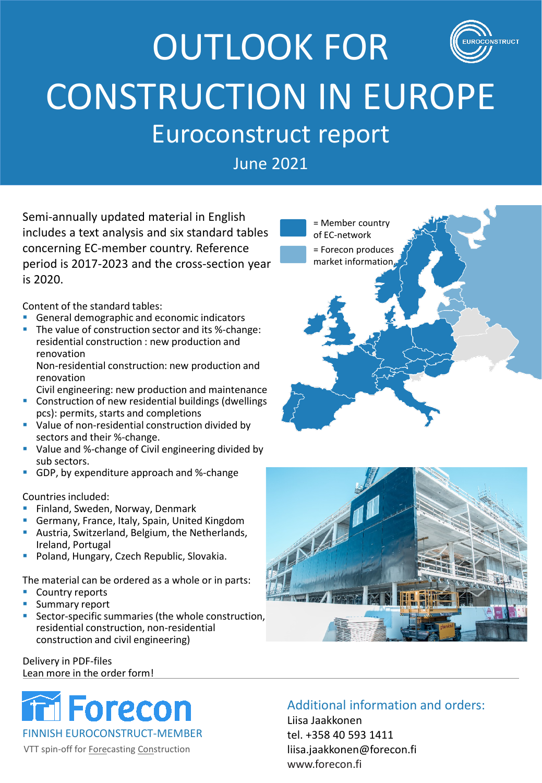### OUTLOOK FOR **STRUCT** CONSTRUCTION IN EUROPE Euroconstruct report

June 2021

Semi-annually updated material in English includes a text analysis and six standard tables concerning EC-member country. Reference period is 2017-2023 and the cross-section year is 2020.

Content of the standard tables:

- General demographic and economic indicators
- The value of construction sector and its %-change: residential construction : new production and renovation Non-residential construction: new production and

renovation Civil engineering: new production and maintenance

- **Construction of new residential buildings (dwellings** pcs): permits, starts and completions
- **Value of non-residential construction divided by** sectors and their %-change.
- Value and %-change of Civil engineering divided by sub sectors.
- GDP, by expenditure approach and %-change

Countries included:

- **Finland, Sweden, Norway, Denmark**
- Germany, France, Italy, Spain, United Kingdom
- **Austria, Switzerland, Belgium, the Netherlands,** Ireland, Portugal
- **Poland, Hungary, Czech Republic, Slovakia.**

The material can be ordered as a whole or in parts:

- Country reports
- **Summary report**
- **Sector-specific summaries (the whole construction,** residential construction, non-residential construction and civil engineering)

Delivery in PDF-files Lean more in the order form!



VTT spin-off for Forecasting Construction

### Additional information and orders:

Liisa Jaakkonen tel. +358 40 593 1411 liisa.jaakkonen@forecon.fi www.forecon.fi



= Member country of EC-network = Forecon produces market information.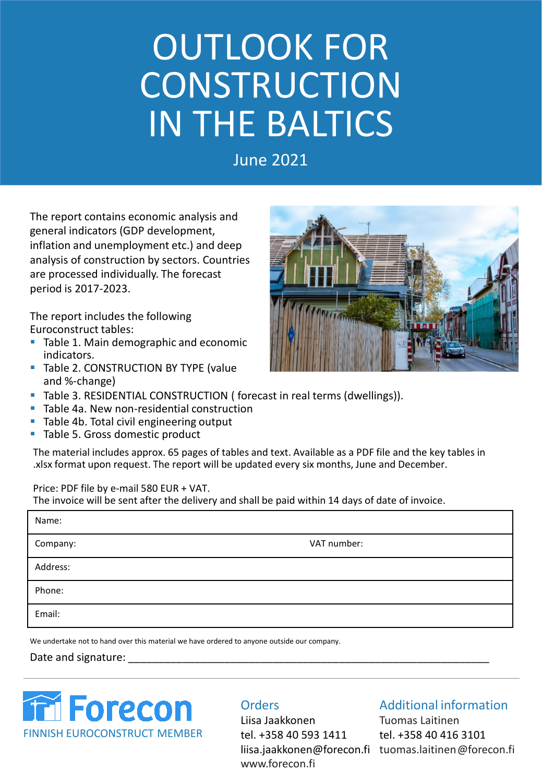# OUTLOOK FOR CONSTRUCTION IN THE BALTICS

June 2021

The report contains economic analysis and general indicators (GDP development, inflation and unemployment etc.) and deep analysis of construction by sectors. Countries are processed individually. The forecast period is 2017-2023.

The report includes the following Euroconstruct tables:

- **Table 1. Main demographic and economic** indicators.
- Table 2. CONSTRUCTION BY TYPE (value and %-change)



- **Table 4a. New non-residential construction**
- Table 4b. Total civil engineering output
- Table 5. Gross domestic product

The material includes approx. 65 pages of tables and text. Available as a PDF file and the key tables in .xlsx format upon request. The report will be updated every six months, June and December.

Price: PDF file by e-mail 580 EUR + VAT.

The invoice will be sent after the delivery and shall be paid within 14 days of date of invoice.

| Name:    |             |
|----------|-------------|
| Company: | VAT number: |
| Address: |             |
| Phone:   |             |
| Email:   |             |
|          |             |

We undertake not to hand over this material we have ordered to anyone outside our company.

#### Date and signature:



#### **Orders**

Liisa Jaakkonen tel. +358 40 593 1411 www.forecon.fi

#### Additional information

liisa.jaakkonen@forecon.fi tuomas.laitinen@forecon.fi Tuomas Laitinen tel. +358 40 416 3101

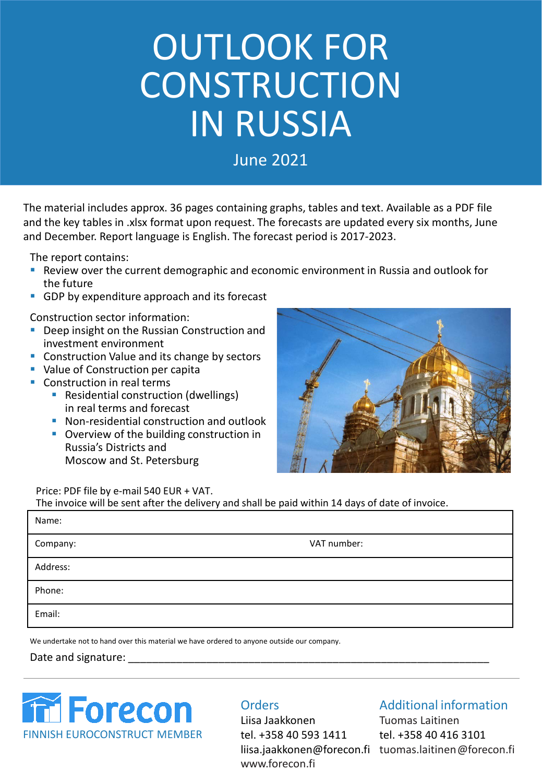# OUTLOOK FOR CONSTRUCTION IN RUSSIA

June 2021

The material includes approx. 36 pages containing graphs, tables and text. Available as a PDF file and the key tables in .xlsx format upon request. The forecasts are updated every six months, June and December. Report language is English. The forecast period is 2017-2023.

The report contains:

- Review over the current demographic and economic environment in Russia and outlook for the future
- **GDP** by expenditure approach and its forecast

Construction sector information:

- Deep insight on the Russian Construction and investment environment
- **Construction Value and its change by sectors**
- **Value of Construction per capita**
- Construction in real terms
	- **Residential construction (dwellings)** in real terms and forecast
	- **Non-residential construction and outlook**
	- **Overview of the building construction in** Russia's Districts and Moscow and St. Petersburg



Price: PDF file by e-mail 540 EUR + VAT.

The invoice will be sent after the delivery and shall be paid within 14 days of date of invoice.

| Name:    |             |
|----------|-------------|
| Company: | VAT number: |
| Address: |             |
| Phone:   |             |
| Email:   |             |

We undertake not to hand over this material we have ordered to anyone outside our company.

Date and signature:



#### **Orders**

Liisa Jaakkonen tel. +358 40 593 1411 www.forecon.fi

#### Additional information

liisa.jaakkonen@forecon.fi tuomas.laitinen@forecon.fi Tuomas Laitinen tel. +358 40 416 3101